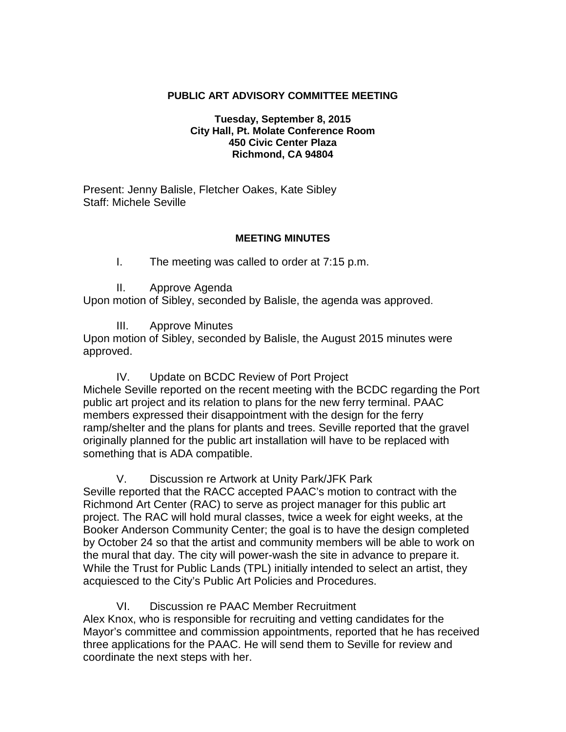#### **PUBLIC ART ADVISORY COMMITTEE MEETING**

#### **Tuesday, September 8, 2015 City Hall, Pt. Molate Conference Room 450 Civic Center Plaza Richmond, CA 94804**

Present: Jenny Balisle, Fletcher Oakes, Kate Sibley Staff: Michele Seville

#### **MEETING MINUTES**

- I. The meeting was called to order at 7:15 p.m.
- II. Approve Agenda

Upon motion of Sibley, seconded by Balisle, the agenda was approved.

III. Approve Minutes

Upon motion of Sibley, seconded by Balisle, the August 2015 minutes were approved.

IV. Update on BCDC Review of Port Project Michele Seville reported on the recent meeting with the BCDC regarding the Port public art project and its relation to plans for the new ferry terminal. PAAC members expressed their disappointment with the design for the ferry ramp/shelter and the plans for plants and trees. Seville reported that the gravel originally planned for the public art installation will have to be replaced with something that is ADA compatible.

V. Discussion re Artwork at Unity Park/JFK Park

Seville reported that the RACC accepted PAAC's motion to contract with the Richmond Art Center (RAC) to serve as project manager for this public art project. The RAC will hold mural classes, twice a week for eight weeks, at the Booker Anderson Community Center; the goal is to have the design completed by October 24 so that the artist and community members will be able to work on the mural that day. The city will power-wash the site in advance to prepare it. While the Trust for Public Lands (TPL) initially intended to select an artist, they acquiesced to the City's Public Art Policies and Procedures.

VI. Discussion re PAAC Member Recruitment Alex Knox, who is responsible for recruiting and vetting candidates for the Mayor's committee and commission appointments, reported that he has received three applications for the PAAC. He will send them to Seville for review and coordinate the next steps with her.